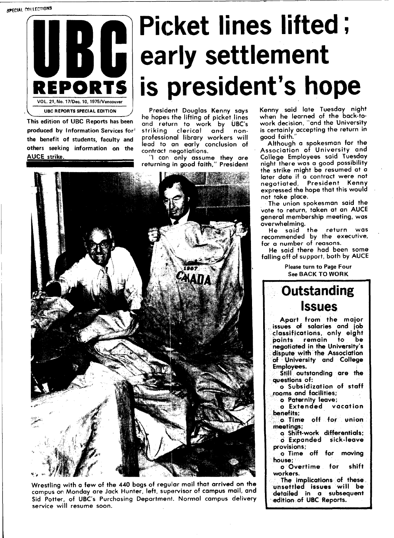**SPECIAL COLLECTIONS** 



This edition of UBC Reports has been produced by Information Services for' the benefit of students, faculty and others seeking information on the AUCE strike.

# **Picket lines lifted; early settlement is president's hope**

President Douglas Kenny says he hopes the lifting of picket lines and return to work by UBC's striking clerical and nonprofessional library workers will lead to an early conclusion of contract negotiations.

"I can only assume they are returning in good faith," President



Wrestling with a few of the 440 bags of regular mail that arrived on the campus on Monday are Jack Hunter, left, supervisor of campus mail, and Sid Potter, of UBC's Purchasing Department. Normal campus delivery service will resume soon.

Kenny said late Tuesday night when he learned of the back-towork decision, "and the University is certainly accepting the return in good faith.

Although a spokesman for the Association of University and College Employees said Tuesday night there was a good possibility the strike might be resumed at a later date if a contract were not negotiated, President Kenny expressed the hope that this would not take place.

The union spokesman said the vote to return, taken at an AUCE general membership meeting, was overwhelming.

He said the return was recommended by the executive, for a number of reasons.

He said there had been some falling off of support, both by AUCE

> Please turn to Page Four See BACK TO WORK

## **Outstanding Issues**

Apart from the major issues of salaries and job classifications, only eight points remain to be negotiated in the University's dispute with the Association of University and College Employees.

Still outstanding are the questions of:

o Subsidization of staff rooms and facilities;

o Paternity leave;

o Extended vacation benefits;

o Time off for union meetings;

o Shift-work differentials; o Expanded sick-leave provisions;

o Time off for moving house;

o Overtime for shift workers.

The implications of these, unsettled issues will be detailed in a subsequent edition of UBC Reports.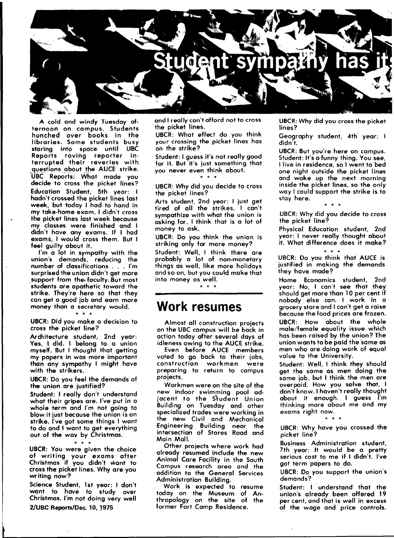

A cold and windy Tuesday afternoon on campus. Students hunched over books in the libraries. Some students busy staring into space until UBC Reports roving reporter interrupted their reveries with questions about the AUCE strike. UBC Reports: What made you decide to cross the picket lines? Education Student, 5th year: I hadn't crossed the picket lines last week, but today I had to hand in my take-home exam. I didn't cross the picket lines last week because my classes were finished and I didn't have any exams. If I had exams, I would cross them. But I feel guilty about it.

I'm a lot in sympathy with the union's demands, reducing the number of classifications . . . I'm surprised the union didn't get more support from the-faculty. But most students are apathetic toward the strike. They're here so that they can get a good job and earn more money than a secretary would.

**\* \* \***  UBCR: Did you make a decision to cross the picket line?

Architecture student, 2nd year: Yes, I did. I belong to a union myself. But I thought that getting my papers in was more important than any sympathy I might have with the strikers.

UBCR: Do you feel the demands of the union are justified?

Student: I really don't understand what their gripes are. I've put in a whole term and I'm not going to blow it just because the union is on strike. I've got some things I want to do and 1 want to get everything out of the way by Christmas.

**\* \* \***  UBCR: You were given the choice of writing your exams after Christmas if you didn't want to cross the picket lines. Why are you writing now?

Science Student, 1st year: I don't want to have to study over Christmas. I'm not doing very well 2/UBC Reports/Dec. 10,1975

and I really can't afford not to cross the picket lines.

UBCR: What effect do you think your crossing the picket lines has on the strike?

Student: I guess it's not really good for it. But it's just something that you never even think about. **\* \* \*** 

UBCR: Why did you decide to cross the picket lines?

Arts student, 2nd year: I just get tired of all the strikes. I can't sympathize with what the union is asking for. I think that is a lot of money to ask.

UBCR: Do you think the union is striking only for more money?

Student: Well, I think there are probably a lot of non-monetary things as well, like more holidays and so on, but you could make that into money as well.

### **Work resumes**

Almost all construction projects on the UBC campus will be back in action today after several days of idleness owing to the AUCE strike.

Even before AUCE members voted to go back to their jobs, construction workmen were preparing to return to campus projects.

Workmen were on the site of the new indoor swimming pool adjacent to the S'tudent Union Building on Tuesday and other specialized trades were working in the new Civil and Mechanical Engineering Building near the intersection of Stores Road and Main Mall.

Other projects where work had already resumed include the new Animal Care Facility in the South Campus research area and the addition to the General Services Administration Building.

Work is expected to resume today on the Museum of Anthropology on the site of the former Fort Camp Residence.

UBCR: Why did you cross the picket lines?

Geography student, 4th year: I didn't.

UBCR: But you're here on campus. Student: It's a funny thing. You see, I live in residence, so I went to bed one night outside the picket lines and woke up the next morning inside the picket lines, so the only way I could support the strike is to stay here.

**\* \* \***  UBCR: Why did you decide to cross the picket line?

Physical Education student, 2nd year: I never really thought about it. What difference does it make?

**\* \* +**  UBCR: Do you think that AUCE is justified in making the demands they have made?

Home Economics student, 2nd year: No, I can't see that they should get more than 10 per cent if nobody else can. I work in a grocery store and I can't get a raise because the food prices are frozen.

UBCR: How about the whole male/female equality issue which has been raised by the union? The union wants to be paid the same as men who are doing work of equal value to the University.

Student: Well, I think they should get the same as men doing the same job, but I think the men are overpaid. How you solve that, I don't know. I haven't really thought about it enough. I guess I'm thinking more about me and my exams right now.

**\* \* \***  UBCR: Why have you crossed the picket line?

Business Administration student, 7th year: It would be a pretty serious cost to me if I didn't. I've got term papers to do.

UBCR: Do you support the union's demands?

Student: I understand that the union's already been offered 19 per cent, and that is well in excess of the wage and price controls.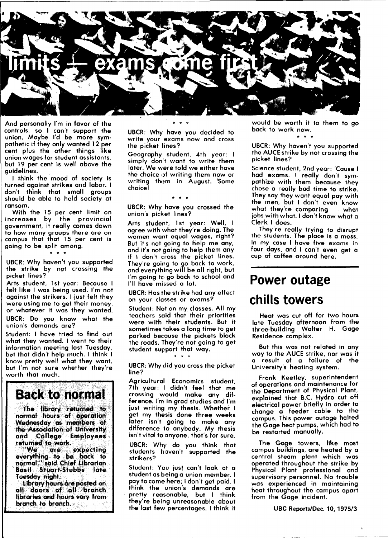

And personally I'm in favor of the controls, so I can't support the union. Maybe I'd be more sympathetic if they only wanted 12 per cent plus the other things like union wages for student assistants, but 19 per cent is well above the guidelines.

I think the mood of society is turned against strikes and labor. I don't think that small groups should be able to hold society at ransom.

With the 15 per cent limit on increases by the provincial government, it really comes down to how many groups there are on campus that that 15 per cent is going to be split among. **\* \* \*** 

UBCR: Why haven't you supported the strike by npt crossing the picket lines?

.<br>Arts student, 1st year: Because I felt like I was being used. I'm not against the strikers. I just felt they were using me to get their money, or whatever it was they wanted.

UBCR: Do you know what the union's demands are?

Student: I have tried to find out what they wanted. I went to their information meeting last Tuesday, but that didn't help much. I think I know pretty well what they want, but I'm not sure whether they're worth that much.

**Back to normal** 

**The library returned to normal hours of operation Wednesday as members of the Association of University and College Employees returned to work.** 

**"We are expecting everything to be back to normal," said Chief Librarian Basil Stuart-Stubbs late. Tuesday night.** 

**Library hours are posted on all doors of alt branch libraries and hours vary from branch to branch.** 

UBCR: Why have you decided to write your exams now and cross the picket lines?

Geography student, 4th year: I simply don't want to write them later. We were told we either have the choice of writing them now or writing them in August. 'Some choice!

UBCR: Why have you crossed the union's picket lines?

Arts student, 1st year: Well, I agree with what they're doing. The women want equal wages, right? But it's not going to help me any, and it's not going to help them any if I don't cross the picket lines. They're going to go back to work, and everything will be all right, but I'm going to go back to school and I'll have missed a lot.

UBCR: Has the strike had any effect on your classes or exams?

Student: Net on my classes. All my teachers said that their priorities were with their students. But it sometimes takes a long time to get parked because the pickets block the roads. They're not going to get student support that way. **\* \* \*** 

UBCR: Why did you cross the picket line?

Agricultural Economics student, 7th year: I didn't feel that me crossing would make any difference. I'm in grad studies and I'm just writing my thesis. Whether I get my thesis done three weeks later isn't going to make any difference to anybody. My thesis isn't vital to anyone, that's for sure.

UBCR: Why do you think that students haven't supported the strikers?

Student: You just can't look at a student as being a union member. I pay to come here; I don't get paid. I think the union's demands are pretty reasonable, but I think they're being unreasonable about the last few percentages. I think it would be worth it to them to go back to work now. **\* \* \*** 

UBCR: Why haven't you supported the AUCE strike by not crossing the picket lines?

Science student, 2nd year: Cause I had exams. I really don't sympathize with them because they chose a really bad time to strike. They say they want equal pay with the men, but I don't even know what they're comparing — what iobs with what. I don't know what a Clerk I does.

They're really trying to disrupt the students. The place is a mess. In my case I have five exams in four days, and I can't even get a cup of coffee around here.

## **Power outage chills towers**

Heat was cut off for two hours late Tuesday afternoon from the three-building Walter H. Gage Residence complex.

But this was not related in any way to the AUCE strike, nor was it a result of a failure of the University's heating system.

Frank Keetley, superintendent of operations and maintenance for the Department of Physical Plant, explained that B.C. Hydro cut off electrical power briefly in order to change a feeder cable to the campus. This power outage halted the Gage heat pumps, which had to be restarted manually.

The Gage towers, like most campus buildings, are heated by a central steam plant which was operated throughout the strike by Physical Plant professional and supervisory personnel. No trouble was experienced in maintaining heat throughout the campus apart from the Gage incident.

UBC Reports/Dec. 10, 1975/3